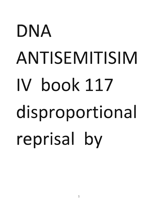## DNA ANTISEMITISIM IV book 117 disproportional reprisal by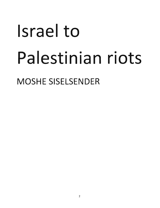## Israel to Palestinian riots

MOSHE SISELSENDER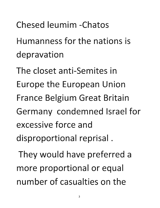**Chesed leumim -Chatos** 

**Humanness for the nations is depravation** 

**The closet anti-Semites in Europe the European Union**  France Belgium Great Britain **Germany condemned Israel for excessive force and disproportional reprisal.** 

They would have preferred a more proportional or equal **number of casualties on the**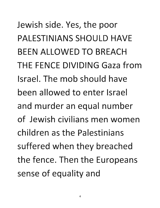Jewish side. Yes, the poor PALESTINIANS SHOULD HAVE BEEN ALLOWED TO BREACH THE FENCE DIVIDING Gaza from Israel. The mob should have been allowed to enter Israel and murder an equal number of Jewish civilians men women children as the Palestinians suffered when they breached the fence. Then the Europeans sense of equality and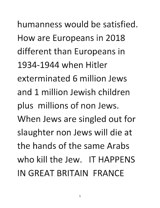humanness would be satisfied. How are Europeans in 2018 different than Europeans in 1934-1944 when Hitler exterminated 6 million Jews and 1 million Jewish children plus millions of non Jews. When Jews are singled out for slaughter non Jews will die at the hands of the same Arabs who kill the Jew. IT HAPPENS IN GREAT BRITAIN FRANCE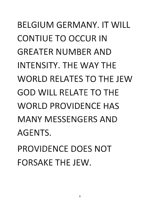BELGIUM GERMANY. IT WILL CONTIUE TO OCCUR IN GREATER NUMBER AND INTENSITY. THE WAY THE WORLD RELATES TO THE JEW GOD WILL RELATE TO THE WORLD PROVIDENCE HAS MANY MESSENGERS AND AGENTS. PROVIDENCE DOES NOT

FORSAKE THE JEW.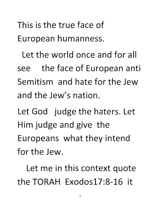This is the true face of European humanness.

Let the world once and for all see the face of European anti Semitism and hate for the Jew and the Jew's nation.

Let God judge the haters. Let Him judge and give the Europeans what they intend for the Jew.

Let me in this context quote the TORAH Exodos17:8-16 it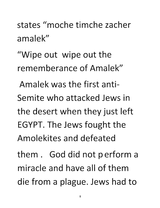states "moche timche zacher amalek"

"Wipe out wipe out the rememberance of Amalek"

Amalek was the first anti-Semite who attacked Jews in the desert when they just left EGYPT. The Jews fought the Amolekites and defeated

them. God did not perform a miracle and have all of them die from a plague. Jews had to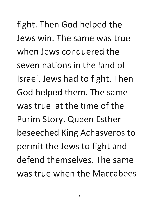fight. Then God helped the Jews win. The same was true when Jews conquered the seven nations in the land of Israel. Jews had to fight. Then God helped them. The same was true at the time of the Purim Story. Queen Esther beseeched King Achasveros to permit the Jews to fight and defend themselves. The same was true when the Maccabees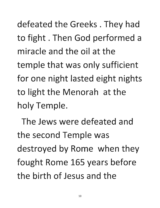defeated the Greeks. They had to fight. Then God performed a **miracle and the oil at the**  temple that was only sufficient for one night lasted eight nights to light the Menorah at the **holy Temple.** 

**The Jews were defeated and the second Temple was**  destroyed by Rome when they fought Rome 165 years before **the birth of Jesus and the**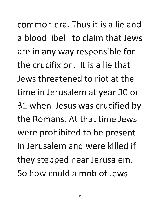common era. Thus it is a lie and a blood libel to claim that Jews are in any way responsible for the crucifixion. It is a lie that Jews threatened to riot at the time in Jerusalem at year 30 or 31 when Jesus was crucified by the Romans. At that time Jews were prohibited to be present in Jerusalem and were killed if they stepped near Jerusalem. So how could a mob of Jews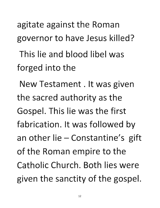agitate against the Roman governor to have Jesus killed?

This lie and blood libel was forged into the

New Testament. It was given the sacred authority as the Gospel. This lie was the first fabrication. It was followed by an other lie  $-$  Constantine's gift of the Roman empire to the Catholic Church. Both lies were given the sanctity of the gospel.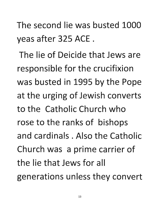The second lie was busted 1000 yeas after 325 ACE.

The lie of Deicide that Jews are responsible for the crucifixion was busted in 1995 by the Pope at the urging of Jewish converts to the Catholic Church who rose to the ranks of bishops and cardinals. Also the Catholic Church was a prime carrier of the lie that Jews for all generations unless they convert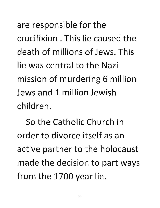are responsible for the **crucifixion. This lie caused the death of millions of Jews. This lie was central to the Nazi**  mission of murdering 6 million **Jews and 1 million Jewish children.** 

**So the Catholic Church in order to divorce itself as an**  active partner to the holocaust made the decision to part ways from the 1700 year lie.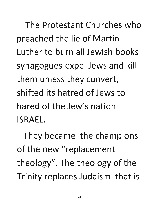**The Protestant Churches who**  preached the lie of Martin **Luther to burn all Jewish books**  synagogues expel Jews and kill them unless they convert, **shifted its hatred of Jews to hared of the Jew's nation ISRAEL.** 

**They became the champions**  of the new "replacement theology". The theology of the Trinity replaces Judaism that is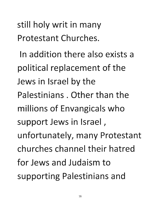still holy writ in many Protestant Churches.

In addition there also exists a political replacement of the Jews in Israel by the Palestinians, Other than the millions of Envangicals who support Jews in Israel, unfortunately, many Protestant churches channel their hatred for Jews and Judaism to supporting Palestinians and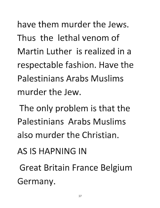have them murder the Jews. Thus the lethal venom of Martin Luther is realized in a respectable fashion. Have the Palestinians Arabs Muslims murder the Jew.

The only problem is that the Palestinians Arabs Muslims also murder the Christian.

AS IS HAPNING IN

Great Britain France Belgium Germany.